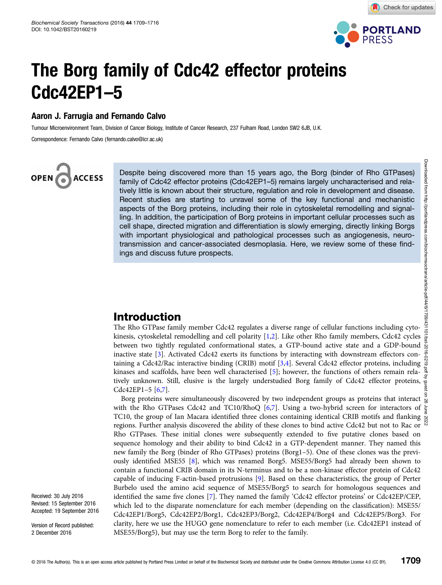

Check for updates

## The Borg family of Cdc42 effector proteins Cdc42EP1–5

#### Aaron J. Farrugia and Fernando Calvo

Tumour Microenvironment Team, Division of Cancer Biology, Institute of Cancer Research, 237 Fulham Road, London SW2 6JB, U.K.

Correspondence: Fernando Calvo (fernando.calvo@icr.ac.uk)

# **ACCESS**

Despite being discovered more than 15 years ago, the Borg (binder of Rho GTPases) family of Cdc42 effector proteins (Cdc42EP1–5) remains largely uncharacterised and relatively little is known about their structure, regulation and role in development and disease. Recent studies are starting to unravel some of the key functional and mechanistic aspects of the Borg proteins, including their role in cytoskeletal remodelling and signalling. In addition, the participation of Borg proteins in important cellular processes such as cell shape, directed migration and differentiation is slowly emerging, directly linking Borgs with important physiological and pathological processes such as angiogenesis, neurotransmission and cancer-associated desmoplasia. Here, we review some of these findings and discuss future prospects.

## Introduction

The Rho GTPase family member Cdc42 regulates a diverse range of cellular functions including cytokinesis, cytoskeletal remodelling and cell polarity [[1](#page-6-0),[2](#page-6-0)]. Like other Rho family members, Cdc42 cycles between two tightly regulated conformational states, a GTP-bound active state and a GDP-bound inactive state [\[3](#page-6-0)]. Activated Cdc42 exerts its functions by interacting with downstream effectors containing a Cdc42/Rac interactive binding (CRIB) motif [\[3,4](#page-6-0)]. Several Cdc42 effector proteins, including kinases and scaffolds, have been well characterised [[5\]](#page-6-0); however, the functions of others remain relatively unknown. Still, elusive is the largely understudied Borg family of Cdc42 effector proteins, Cdc42EP1-5  $[6,7]$  $[6,7]$ .

Borg proteins were simultaneously discovered by two independent groups as proteins that interact  $\frac{3}{8}$ with the Rho GTPases Cdc42 and TC10/RhoQ [[6,7\]](#page-6-0). Using a two-hybrid screen for interactors of  $\frac{1}{5}$ TC10, the group of Ian Macara identified three clones containing identical CRIB motifs and flanking  $\frac{8}{8}$ <br>TC10, the group of Ian Macara identified three clones containing identical CRIB motifs and flanking  $\frac{8}{8}$ regions. Further analysis discovered the ability of these clones to bind active Cdc42 but not to Rac or Rho GTPases. These initial clones were subsequently extended to five putative clones based on sequence homology and their ability to bind Cdc42 in a GTP-dependent manner. They named this new family the Borg (binder of Rho GTPases) proteins (Borg1–5). One of these clones was the previously identified MSE55 [[8\]](#page-6-0), which was renamed Borg5. MSE55/Borg5 had already been shown to contain a functional CRIB domain in its N-terminus and to be a non-kinase effector protein of Cdc42 capable of inducing F-actin-based protrusions [[9](#page-6-0)]. Based on these characteristics, the group of Perter Burbelo used the amino acid sequence of MSE55/Borg5 to search for homologous sequences and identified the same five clones [[7\]](#page-6-0). They named the family 'Cdc42 effector proteins' or Cdc42EP/CEP, which led to the disparate nomenclature for each member (depending on the classification): MSE55/ Cdc42EP1/Borg5, Cdc42EP2/Borg1, Cdc42EP3/Borg2, Cdc42EP4/Borg4 and Cdc42EP5/Borg3. For clarity, here we use the HUGO gene nomenclature to refer to each member (i.e. Cdc42EP1 instead of MSE55/Borg5), but may use the term Borg to refer to the family.

Version of Record published: 2 December 2016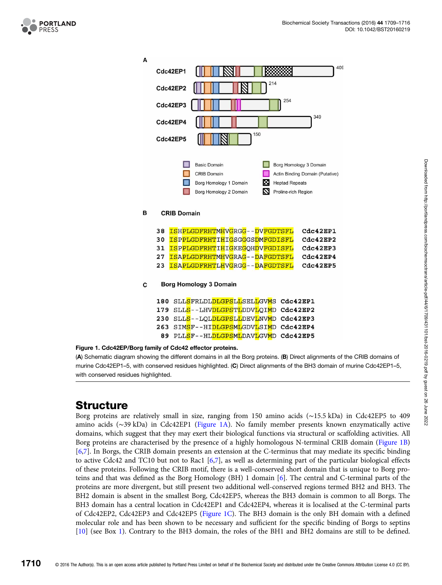<span id="page-1-0"></span>

| А |                                                                                                         |                    |                                                        |                                                                                                           |          |  |  |  |
|---|---------------------------------------------------------------------------------------------------------|--------------------|--------------------------------------------------------|-----------------------------------------------------------------------------------------------------------|----------|--|--|--|
|   |                                                                                                         | Cdc42EP1           |                                                        |                                                                                                           | 409      |  |  |  |
|   | 214<br>Cdc42EP2                                                                                         |                    |                                                        |                                                                                                           |          |  |  |  |
|   | 254<br>Cdc42EP3                                                                                         |                    |                                                        |                                                                                                           |          |  |  |  |
|   | 349<br>Cdc42EP4                                                                                         |                    |                                                        |                                                                                                           |          |  |  |  |
|   | 150<br>Cdc42EP5                                                                                         |                    |                                                        |                                                                                                           |          |  |  |  |
|   | <b>Basic Domain</b><br><b>CRIB Domain</b><br>м<br>Borg Homology 1 Domain<br>М<br>Borg Homology 2 Domain |                    |                                                        | Borg Homology 3 Domain<br>Actin Binding Domain (Putative)<br><b>Heptad Repeats</b><br>Proline-rich Region |          |  |  |  |
| в |                                                                                                         | <b>CRIB Domain</b> |                                                        |                                                                                                           |          |  |  |  |
|   | 38                                                                                                      |                    | ISHPLGDFRHTMHVGRGG--DVFGDTSFL                          |                                                                                                           | Cdc42EP1 |  |  |  |
|   | 30                                                                                                      |                    | <b>ISPPLGDFRHTIHIGSGGGSDMFGDISFL</b>                   |                                                                                                           | Cdc42EP2 |  |  |  |
|   | 31                                                                                                      |                    | <b>ISPPLGDFRHTIHIGKEGQHDVFGDISFL</b>                   |                                                                                                           | Cdc42EP3 |  |  |  |
|   | 27                                                                                                      |                    | ISAPLGDFRHTMHVGRAG--DAFGDTSFL                          |                                                                                                           | Cdc42EP4 |  |  |  |
|   | 23                                                                                                      |                    | ISAPLGDFRHTLHVGRGG--DAFGDTSFL                          |                                                                                                           | Cdc42EP5 |  |  |  |
| С | <b>Borg Homology 3 Domain</b>                                                                           |                    |                                                        |                                                                                                           |          |  |  |  |
|   | 180                                                                                                     |                    | SLL <mark>S</mark> FRLDL <mark>DLGPSLL</mark> SELLGVMS |                                                                                                           | Cdc42EP1 |  |  |  |
|   | 179                                                                                                     |                    | SLL <mark>S</mark> --LHVDLGPSTLDDVLOIMD                |                                                                                                           | Cdc42EP2 |  |  |  |
|   | 230                                                                                                     |                    | SLL <mark>S</mark> --LOL <mark>DLGPSLL</mark> DEVLNVMD |                                                                                                           | Cdc42EP3 |  |  |  |
|   | 263                                                                                                     |                    | SIMSF--HIDLGPSMLGDVLSIMD                               |                                                                                                           | Cdc42EP4 |  |  |  |
|   | 89                                                                                                      |                    | PLLSF--HLDLGPSMLDAVLGVMD                               |                                                                                                           | Cdc42EP5 |  |  |  |
|   |                                                                                                         |                    | i family of Cdc42 effector proteins                    |                                                                                                           |          |  |  |  |

## Figure 1. Cdc42EP/Borg family of

(A) Schematic diagram showing the different domains in all the Borg proteins. (B) Direct alignments of the CRIB domains of murine Cdc42EP1–5, with conserved residues highlighted. (C) Direct alignments of the BH3 domain of murine Cdc42EP1–5, with conserved residues highlighted.

## **Structure**

Borg proteins are relatively small in size, ranging from 150 amino acids (∼15.5 kDa) in Cdc42EP5 to 409 amino acids (∼39 kDa) in Cdc42EP1 (Figure 1A). No family member presents known enzymatically active domains, which suggest that they may exert their biological functions via structural or scaffolding activities. All Borg proteins are characterised by the presence of a highly homologous N-terminal CRIB domain (Figure 1B) [[6,7](#page-6-0)]. In Borgs, the CRIB domain presents an extension at the C-terminus that may mediate its specific binding to active Cdc42 and TC10 but not to Rac1 [[6,7](#page-6-0)], as well as determining part of the particular biological effects of these proteins. Following the CRIB motif, there is a well-conserved short domain that is unique to Borg proteins and that was defined as the Borg Homology (BH) 1 domain [[6\]](#page-6-0). The central and C-terminal parts of the proteins are more divergent, but still present two additional well-conserved regions termed BH2 and BH3. The BH2 domain is absent in the smallest Borg, Cdc42EP5, whereas the BH3 domain is common to all Borgs. The BH3 domain has a central location in Cdc42EP1 and Cdc42EP4, whereas it is localised at the C-terminal parts of Cdc42EP2, Cdc42EP3 and Cdc42EP5 (Figure 1C). The BH3 domain is the only BH domain with a defined molecular role and has been shown to be necessary and sufficient for the specific binding of Borgs to septins [[10](#page-6-0)] (see Box [1\)](#page-2-0). Contrary to the BH3 domain, the roles of the BH1 and BH2 domains are still to be defined.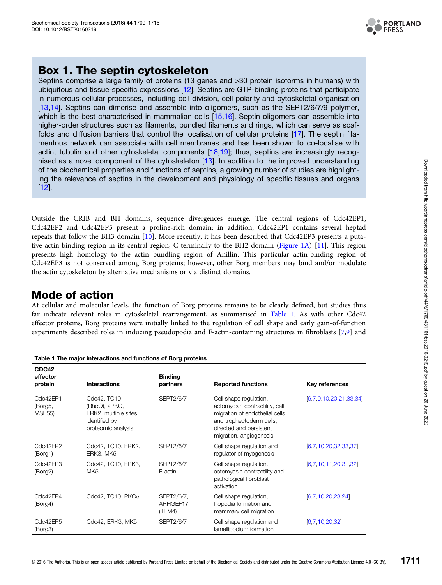

## <span id="page-2-0"></span>Box 1. The septin cytoskeleton

Septins comprise a large family of proteins (13 genes and >30 protein isoforms in humans) with ubiquitous and tissue-specific expressions [[12\]](#page-6-0). Septins are GTP-binding proteins that participate in numerous cellular processes, including cell division, cell polarity and cytoskeletal organisation [\[13](#page-6-0),[14\]](#page-6-0). Septins can dimerise and assemble into oligomers, such as the SEPT2/6/7/9 polymer, which is the best characterised in mammalian cells [\[15,16](#page-6-0)]. Septin oligomers can assemble into higher-order structures such as filaments, bundled filaments and rings, which can serve as scaffolds and diffusion barriers that control the localisation of cellular proteins [[17\]](#page-6-0). The septin filamentous network can associate with cell membranes and has been shown to co-localise with actin, tubulin and other cytoskeletal components  $[18,19]$  $[18,19]$  $[18,19]$ ; thus, septins are increasingly recog-nised as a novel component of the cytoskeleton [\[13](#page-6-0)]. In addition to the improved understanding of the biochemical properties and functions of septins, a growing number of studies are highlighting the relevance of septins in the development and physiology of specific tissues and organs [\[12](#page-6-0)].

Outside the CRIB and BH domains, sequence divergences emerge. The central regions of Cdc42EP1, Cdc42EP2 and Cdc42EP5 present a proline-rich domain; in addition, Cdc42EP1 contains several heptad repeats that follow the BH3 domain [\[10\]](#page-6-0). More recently, it has been described that Cdc42EP3 presents a putative actin-binding region in its central region, C-terminally to the BH2 domain [\(Figure 1A\)](#page-1-0) [[11](#page-6-0)]. This region presents high homology to the actin bundling region of Anillin. This particular actin-binding region of Cdc42EP3 is not conserved among Borg proteins; however, other Borg members may bind and/or modulate the actin cytoskeleton by alternative mechanisms or via distinct domains.

## Mode of action

At cellular and molecular levels, the function of Borg proteins remains to be clearly defined, but studies thus far indicate relevant roles in cytoskeletal rearrangement, as summarised in Table 1. As with other Cdc42 effector proteins, Borg proteins were initially linked to the regulation of cell shape and early gain-of-function experiments described roles in inducing pseudopodia and F-actin-containing structures in fibroblasts [[7](#page-6-0),[9](#page-6-0)] and

| CDC42<br>effector<br>protein         | <b>Interactions</b>                                                                         | <b>Binding</b><br>partners       | <b>Reported functions</b>                                                                                                                                                    | Key references         |
|--------------------------------------|---------------------------------------------------------------------------------------------|----------------------------------|------------------------------------------------------------------------------------------------------------------------------------------------------------------------------|------------------------|
| Cdc42EP1<br>(Borg5,<br><b>MSE55)</b> | Cdc42, TC10<br>(RhoQ), aPKC,<br>ERK2, multiple sites<br>identified by<br>proteomic analysis | <b>SEPT2/6/7</b>                 | Cell shape regulation,<br>actomyosin contractility, cell<br>migration of endothelial cells<br>and trophectoderm cells,<br>directed and persistent<br>migration, angiogenesis | [6,7,9,10,20,21,33,34] |
| Cdc42EP2<br>(Borg1)                  | Cdc42, TC10, ERK2,<br>ERK3, MK5                                                             | SEPT2/6/7                        | Cell shape regulation and<br>regulator of myogenesis                                                                                                                         | [6,7,10,20,32,33,37]   |
| Cdc42EP3<br>(Borg2)                  | Cdc42, TC10, ERK3,<br>MK <sub>5</sub>                                                       | SEPT2/6/7<br>F-actin             | Cell shape regulation,<br>actomyosin contractility and<br>pathological fibroblast<br>activation                                                                              | [6,7,10,11,20,31,32]   |
| Cdc42EP4<br>(Borg4)                  | Cdc42, TC10, $PKC\alpha$                                                                    | SEPT2/6/7,<br>ARHGEF17<br>(TEM4) | Cell shape regulation,<br>filopodia formation and<br>mammary cell migration                                                                                                  | [6.7.10.20.23.24]      |
| Cdc42EP5<br>(Borg3)                  | Cdc42, ERK3, MK5                                                                            | <b>SEPT2/6/7</b>                 | Cell shape regulation and<br>lamellipodium formation                                                                                                                         | [6,7,10,20,32]         |

Table 1 The major interactions and functions of Borg proteins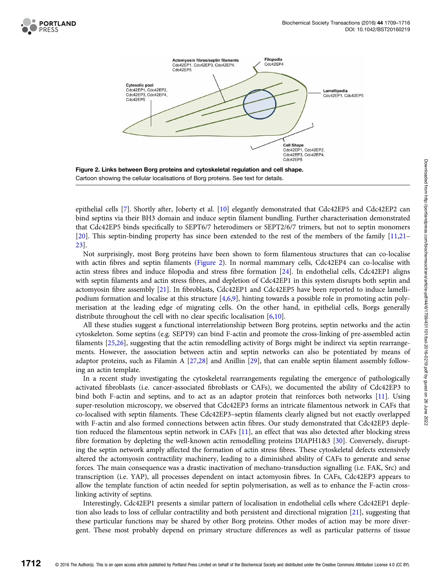



epithelial cells [\[7](#page-6-0)]. Shortly after, Joberty et al. [\[10\]](#page-6-0) elegantly demonstrated that Cdc42EP5 and Cdc42EP2 can bind septins via their BH3 domain and induce septin filament bundling. Further characterisation demonstrated that Cdc42EP5 binds specifically to SEPT6/7 heterodimers or SEPT2/6/7 trimers, but not to septin monomers [[20](#page-6-0)]. This septin-binding property has since been extended to the rest of the members of the family [\[11,21](#page-6-0)– [23\]](#page-6-0).

Not surprisingly, most Borg proteins have been shown to form filamentous structures that can co-localise with actin fibres and septin filaments (Figure 2). In normal mammary cells, Cdc42EP4 can co-localise with actin stress fibres and induce filopodia and stress fibre formation [\[24\]](#page-6-0). In endothelial cells, Cdc42EP1 aligns with septin filaments and actin stress fibres, and depletion of Cdc42EP1 in this system disrupts both septin and actomyosin fibre assembly [\[21\]](#page-6-0). In fibroblasts, Cdc42EP1 and Cdc42EP5 have been reported to induce lamellipodium formation and localise at this structure [[4,6,9\]](#page-6-0), hinting towards a possible role in promoting actin polymerisation at the leading edge of migrating cells. On the other hand, in epithelial cells, Borgs generally distribute throughout the cell with no clear specific localisation [[6,10](#page-6-0)].

All these studies suggest a functional interrelationship between Borg proteins, septin networks and the actin cytoskeleton. Some septins (e.g. SEPT9) can bind F-actin and promote the cross-linking of pre-assembled actin filaments [\[25,26\]](#page-6-0), suggesting that the actin remodelling activity of Borgs might be indirect via septin rearrangements. However, the association between actin and septin networks can also be potentiated by means of adaptor proteins, such as Filamin A [[27](#page-6-0),[28](#page-6-0)] and Anillin [\[29\]](#page-6-0), that can enable septin filament assembly following an actin template.

In a recent study investigating the cytoskeletal rearrangements regulating the emergence of pathologically activated fibroblasts (i.e. cancer-associated fibroblasts or CAFs), we documented the ability of Cdc42EP3 to bind both F-actin and septins, and to act as an adaptor protein that reinforces both networks [\[11](#page-6-0)]. Using super-resolution microscopy, we observed that Cdc42EP3 forms an intricate filamentous network in CAFs that co-localised with septin filaments. These Cdc42EP3–septin filaments clearly aligned but not exactly overlapped with F-actin and also formed connections between actin fibres. Our study demonstrated that Cdc42EP3 depletion reduced the filamentous septin network in CAFs [\[11\]](#page-6-0), an effect that was also detected after blocking stress fibre formation by depleting the well-known actin remodelling proteins DIAPH1&3 [\[30\]](#page-6-0). Conversely, disrupting the septin network amply affected the formation of actin stress fibres. These cytoskeletal defects extensively altered the actomyosin contractility machinery, leading to a diminished ability of CAFs to generate and sense forces. The main consequence was a drastic inactivation of mechano-transduction signalling (i.e. FAK, Src) and transcription (i.e. YAP), all processes dependent on intact actomyosin fibres. In CAFs, Cdc42EP3 appears to allow the template function of actin needed for septin polymerisation, as well as to enhance the F-actin crosslinking activity of septins.

Interestingly, Cdc42EP1 presents a similar pattern of localisation in endothelial cells where Cdc42EP1 depletion also leads to loss of cellular contractility and both persistent and directional migration [[21](#page-6-0)], suggesting that these particular functions may be shared by other Borg proteins. Other modes of action may be more divergent. These most probably depend on primary structure differences as well as particular patterns of tissue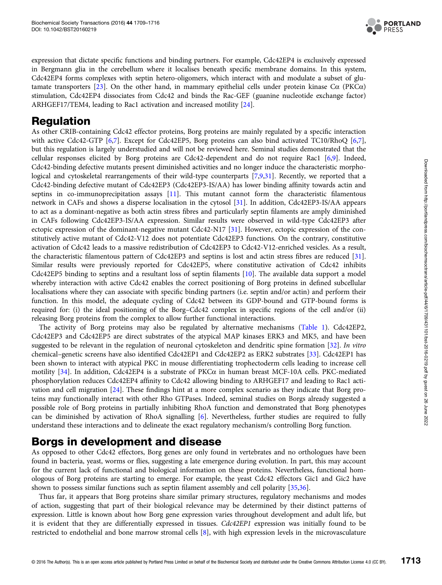

expression that dictate specific functions and binding partners. For example, Cdc42EP4 is exclusively expressed in Bergmann glia in the cerebellum where it localises beneath specific membrane domains. In this system, Cdc42EP4 forms complexes with septin hetero-oligomers, which interact with and modulate a subset of glutamate transporters [[23](#page-6-0)]. On the other hand, in mammary epithelial cells under protein kinase Cα (PKCα) stimulation, Cdc42EP4 dissociates from Cdc42 and binds the Rac-GEF (guanine nucleotide exchange factor) ARHGEF17/TEM4, leading to Rac1 activation and increased motility [[24](#page-6-0)].

## Regulation

As other CRIB-containing Cdc42 effector proteins, Borg proteins are mainly regulated by a specific interaction with active Cdc42-GTP [[6,7\]](#page-6-0). Except for Cdc42EP5, Borg proteins can also bind activated TC10/RhoQ [[6,7\]](#page-6-0), but this regulation is largely understudied and will not be reviewed here. Seminal studies demonstrated that the cellular responses elicited by Borg proteins are Cdc42-dependent and do not require Rac1 [[6,9\]](#page-6-0). Indeed, Cdc42-binding defective mutants present diminished activities and no longer induce the characteristic morphological and cytoskeletal rearrangements of their wild-type counterparts [[7,9,31](#page-6-0)]. Recently, we reported that a Cdc42-binding defective mutant of Cdc42EP3 (Cdc42EP3-IS/AA) has lower binding affinity towards actin and septins in co-immunoprecipitation assays [[11](#page-6-0)]. This mutant cannot form the characteristic filamentous network in CAFs and shows a disperse localisation in the cytosol [\[31\]](#page-6-0). In addition, Cdc42EP3-IS/AA appears to act as a dominant-negative as both actin stress fibres and particularly septin filaments are amply diminished in CAFs following Cdc42EP3-IS/AA expression. Similar results were observed in wild-type Cdc42EP3 after ectopic expression of the dominant-negative mutant Cdc42-N17 [\[31\]](#page-6-0). However, ectopic expression of the constitutively active mutant of Cdc42-V12 does not potentiate Cdc42EP3 functions. On the contrary, constitutive activation of Cdc42 leads to a massive redistribution of Cdc42EP3 to Cdc42-V12-enriched vesicles. As a result, the characteristic filamentous pattern of Cdc42EP3 and septins is lost and actin stress fibres are reduced [[31\]](#page-6-0). Similar results were previously reported for Cdc42EP5, where constitutive activation of Cdc42 inhibits Cdc42EP5 binding to septins and a resultant loss of septin filaments [\[10\]](#page-6-0). The available data support a model whereby interaction with active Cdc42 enables the correct positioning of Borg proteins in defined subcellular localisations where they can associate with specific binding partners (i.e. septin and/or actin) and perform their function. In this model, the adequate cycling of Cdc42 between its GDP-bound and GTP-bound forms is required for: (i) the ideal positioning of the Borg–Cdc42 complex in specific regions of the cell and/or (ii) releasing Borg proteins from the complex to allow further functional interactions.

The activity of Borg proteins may also be regulated by alternative mechanisms ([Table 1](#page-2-0)). Cdc42EP2, Cdc42EP3 and Cdc42EP5 are direct substrates of the atypical MAP kinases ERK3 and MK5, and have been suggested to be relevant in the regulation of neuronal cytoskeleton and dendritic spine formation [[32](#page-7-0)]. In vitro chemical–genetic screens have also identified Cdc42EP1 and Cdc42EP2 as ERK2 substrates [[33\]](#page-7-0). Cdc42EP1 has been shown to interact with atypical PKC in mouse differentiating trophectoderm cells leading to increase cell motility [\[34\]](#page-7-0). In addition, Cdc42EP4 is a substrate of PKCα in human breast MCF-10A cells. PKC-mediated phosphorylation reduces Cdc42EP4 affinity to Cdc42 allowing binding to ARHGEF17 and leading to Rac1 activation and cell migration [[24](#page-6-0)]. These findings hint at a more complex scenario as they indicate that Borg proteins may functionally interact with other Rho GTPases. Indeed, seminal studies on Borgs already suggested a possible role of Borg proteins in partially inhibiting RhoA function and demonstrated that Borg phenotypes can be diminished by activation of RhoA signalling [\[6](#page-6-0)]. Nevertheless, further studies are required to fully understand these interactions and to delineate the exact regulatory mechanism/s controlling Borg function.

#### Borgs in development and disease

As opposed to other Cdc42 effectors, Borg genes are only found in vertebrates and no orthologues have been found in bacteria, yeast, worms or flies, suggesting a late emergence during evolution. In part, this may account for the current lack of functional and biological information on these proteins. Nevertheless, functional homologous of Borg proteins are starting to emerge. For example, the yeast Cdc42 effectors Gic1 and Gic2 have shown to possess similar functions such as septin filament assembly and cell polarity [[35,36\]](#page-7-0).

Thus far, it appears that Borg proteins share similar primary structures, regulatory mechanisms and modes of action, suggesting that part of their biological relevance may be determined by their distinct patterns of expression. Little is known about how Borg gene expression varies throughout development and adult life, but it is evident that they are differentially expressed in tissues. Cdc42EP1 expression was initially found to be restricted to endothelial and bone marrow stromal cells [\[8](#page-6-0)], with high expression levels in the microvasculature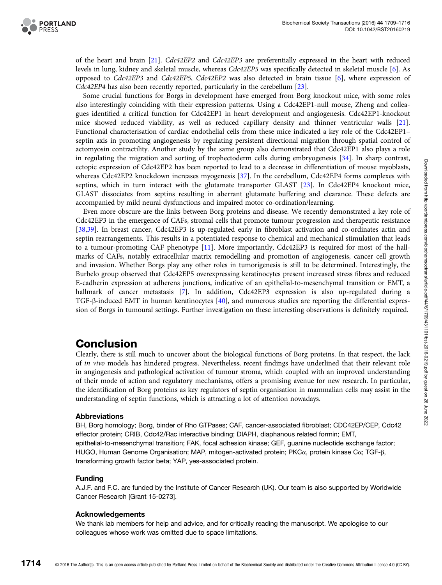

of the heart and brain [\[21\]](#page-6-0). Cdc42EP2 and Cdc42EP3 are preferentially expressed in the heart with reduced levels in lung, kidney and skeletal muscle, whereas Cdc42EP5 was specifically detected in skeletal muscle [[6\]](#page-6-0). As opposed to Cdc42EP3 and Cdc42EP5, Cdc42EP2 was also detected in brain tissue [[6\]](#page-6-0), where expression of Cdc42EP4 has also been recently reported, particularly in the cerebellum [[23](#page-6-0)].

Some crucial functions for Borgs in development have emerged from Borg knockout mice, with some roles also interestingly coinciding with their expression patterns. Using a Cdc42EP1-null mouse, Zheng and colleagues identified a critical function for Cdc42EP1 in heart development and angiogenesis. Cdc42EP1-knockout mice showed reduced viability, as well as reduced capillary density and thinner ventricular walls [[21](#page-6-0)]. Functional characterisation of cardiac endothelial cells from these mice indicated a key role of the Cdc42EP1– septin axis in promoting angiogenesis by regulating persistent directional migration through spatial control of actomyosin contractility. Another study by the same group also demonstrated that Cdc42EP1 also plays a role in regulating the migration and sorting of trophectoderm cells during embryogenesis [[34](#page-7-0)]. In sharp contrast, ectopic expression of Cdc42EP2 has been reported to lead to a decrease in differentiation of mouse myoblasts, whereas Cdc42EP2 knockdown increases myogenesis [\[37](#page-7-0)]. In the cerebellum, Cdc42EP4 forms complexes with septins, which in turn interact with the glutamate transporter GLAST [[23](#page-6-0)]. In Cdc42EP4 knockout mice, GLAST dissociates from septins resulting in aberrant glutamate buffering and clearance. These defects are accompanied by mild neural dysfunctions and impaired motor co-ordination/learning.

Even more obscure are the links between Borg proteins and disease. We recently demonstrated a key role of Cdc42EP3 in the emergence of CAFs, stromal cells that promote tumour progression and therapeutic resistance [[38,39\]](#page-7-0). In breast cancer, Cdc42EP3 is up-regulated early in fibroblast activation and co-ordinates actin and septin rearrangements. This results in a potentiated response to chemical and mechanical stimulation that leads to a tumour-promoting CAF phenotype [[11](#page-6-0)]. More importantly, Cdc42EP3 is required for most of the hallmarks of CAFs, notably extracellular matrix remodelling and promotion of angiogenesis, cancer cell growth and invasion. Whether Borgs play any other roles in tumorigenesis is still to be determined. Interestingly, the Burbelo group observed that Cdc42EP5 overexpressing keratinocytes present increased stress fibres and reduced E-cadherin expression at adherens junctions, indicative of an epithelial-to-mesenchymal transition or EMT, a hallmark of cancer metastasis [[7\]](#page-6-0). In addition, Cdc42EP3 expression is also up-regulated during a TGF-β-induced EMT in human keratinocytes [\[40\]](#page-7-0), and numerous studies are reporting the differential expression of Borgs in tumoural settings. Further investigation on these interesting observations is definitely required.

## **Conclusion**

Clearly, there is still much to uncover about the biological functions of Borg proteins. In that respect, the lack of *in vivo* models has hindered progress. Nevertheless, recent findings have underlined that their relevant role in angiogenesis and pathological activation of tumour stroma, which coupled with an improved understanding of their mode of action and regulatory mechanisms, offers a promising avenue for new research. In particular, the identification of Borg proteins as key regulators of septin organisation in mammalian cells may assist in the understanding of septin functions, which is attracting a lot of attention nowadays.

#### Abbreviations

BH, Borg homology; Borg, binder of Rho GTPases; CAF, cancer-associated fibroblast; CDC42EP/CEP, Cdc42 effector protein; CRIB, Cdc42/Rac interactive binding; DIAPH, diaphanous related formin; EMT, epithelial-to-mesenchymal transition; FAK, focal adhesion kinase; GEF, guanine nucleotide exchange factor; HUGO, Human Genome Organisation; MAP, mitogen-activated protein; PKCα, protein kinase Cα; TGF-β, transforming growth factor beta; YAP, yes-associated protein.

#### Funding

A.J.F. and F.C. are funded by the Institute of Cancer Research (UK). Our team is also supported by Worldwide Cancer Research [Grant 15-0273].

#### Acknowledgements

We thank lab members for help and advice, and for critically reading the manuscript. We apologise to our colleagues whose work was omitted due to space limitations.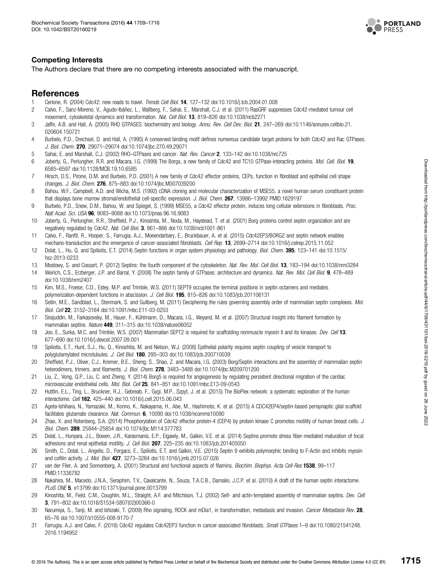

#### <span id="page-6-0"></span>Competing Interests

The Authors declare that there are no competing interests associated with the manuscript.

#### References

- 1 Cerione, R. (2004) Cdc42: new roads to travel. Trends Cell Biol. 14, 127–132 doi:[10.1016/j.tcb.2004.01.008](http://dx.doi.org/doi:10.1016/j.tcb.2004.01.008)<br>2 Calvo E. Sanz-Moreno, V. Agudo-Ibáñez I., Wallberg, E. Sabai, E. Marshall, C. Let al. (2011) BasGBE supr
- 2 Calvo, F., Sanz-Moreno, V., Agudo-Ibáñez, L., Wallberg, F., Sahai, E., Marshall, C.J. et al. (2011) RasGRF suppresses Cdc42-mediated tumour cell movement, cytoskeletal dynamics and transformation. Nat. Cell Biol. 13, 819-826 doi:[10.1038/ncb2271](http://dx.doi.org/doi:10.1038/ncb2271)
- 3 Jaffe, A.B. and Hall, A. (2005) RHO GTPASES: biochemistry and biology. Annu. Rev. Cell Dev. Biol. 21, 247–269 doi:[10.1146/annurev.cellbio.21.](http://dx.doi.org/doi:10.1146/annurev.cellbio.21.020604.150721) [020604.150721](http://dx.doi.org/doi:10.1146/annurev.cellbio.21.020604.150721)
- 4 Burbelo, P.D., Drechsel, D. and Hall, A. (1995) A conserved binding motif defines numerous candidate target proteins for both Cdc42 and Rac GTPases. J. Biol. Chem. 270, 29071–29074 doi:[10.1074/jbc.270.49.29071](http://dx.doi.org/doi:10.1074/jbc.270.49.29071)
- 5 Sahai, E. and Marshall, C.J. (2002) RHO–GTPases and cancer. Nat. Rev. Cancer 2, 133–142 doi:[10.1038/nrc725](http://dx.doi.org/doi:10.1038/nrc725)
- 6 Joberty, G., Perlungher, R.R. and Macara, I.G. (1999) The Borgs, a new family of Cdc42 and TC10 GTPase-interacting proteins. Mol. Cell. Biol. 19, 6585–6597 doi:[10.1128/MCB.19.10.6585](http://dx.doi.org/doi:10.1128/MCB.19.10.6585)
- 7 Hirsch, D.S., Pirone, D.M. and Burbelo, P.D. (2001) A new family of Cdc42 effector proteins, CEPs, function in fibroblast and epithelial cell shape changes. J. Biol. Chem. 276, 875–883 doi[:10.1074/jbc.M007039200](http://dx.doi.org/doi:10.1074/jbc.M007039200)
- 8 Bahou, W.F., Campbell, A.D. and Wicha, M.S. (1992) cDNA cloning and molecular characterization of MSE55, a novel human serum constituent protein that displays bone marrow stromal/endothelial cell-specific expression. J. Biol. Chem. 267, 13986-13992 PMID[:1629197](http://www.ncbi.nlm.nih.gov/pubmed/1629197)
- 9 Burbelo, P.D., Snow, D.M., Bahou, W. and Spiegel, S. (1999) MSE55, a Cdc42 effector protein, induces long cellular extensions in fibroblasts. Proc. Natl Acad. Sci. USA 96, 9083–9088 doi[:10.1073/pnas.96.16.9083](http://dx.doi.org/doi:10.1073/pnas.96.16.9083)
- 10 Joberty, G., Perlungher, R.R., Sheffield, P.J., Kinoshita, M., Noda, M., Haystead, T. et al. (2001) Borg proteins control septin organization and are negatively regulated by Cdc42. Nat. Cell Biol. 3, 861–866 doi:[10.1038/ncb1001-861](http://dx.doi.org/doi:10.1038/ncb1001-861)
- 11 Calvo, F., Ranftl, R., Hooper, S., Farrugia, A.J., Moeendarbary, E., Bruckbauer, A. et al. (2015) Cdc42EP3/BORG2 and septin network enables mechano-transduction and the emergence of cancer-associated fibroblasts. Cell Rep. 13, 2699-2714 doi[:10.1016/j.celrep.2015.11.052](http://dx.doi.org/doi:10.1016/j.celrep.2015.11.052)
- 12 Dolat, L., Hu, Q. and Spiliotis, E.T. (2014) Septin functions in organ system physiology and pathology. Biol. Chem. 395, 123–141 doi[:10.1515/](http://dx.doi.org/doi:10.1515/hsz-2013-0233) [hsz-2013-0233](http://dx.doi.org/doi:10.1515/hsz-2013-0233)
- 13 Mostowy, S. and Cossart, P. (2012) Septins: the fourth component of the cytoskeleton. Nat. Rev. Mol. Cell Biol. 13, 183–194 doi:[10.1038/nrm3284](http://dx.doi.org/doi:10.1038/nrm3284)
- 14 Weirich, C.S., Erzberger, J.P. and Barral, Y. (2008) The septin family of GTPases: architecture and dynamics. Nat. Rev. Mol. Cell Biol. 9, 478-489 doi:[10.1038/nrm2407](http://dx.doi.org/doi:10.1038/nrm2407)
- 15 Kim, M.S., Froese, C.D., Estey, M.P. and Trimble, W.S. (2011) SEPT9 occupies the terminal positions in septin octamers and mediates polymerization-dependent functions in abscission. J. Cell Biol. 195, 815-826 doi[:10.1083/jcb.201106131](http://dx.doi.org/doi:10.1083/jcb.201106131)
- 16 Sellin, M.E., Sandblad, L., Stenmark, S. and Gullberg, M. (2011) Deciphering the rules governing assembly order of mammalian septin complexes. *Mol.* Biol. Cell 22, 3152–3164 doi[:10.1091/mbc.E11-03-0253](http://dx.doi.org/doi:10.1091/mbc.E11-03-0253)
- 17 Sirajuddin, M., Farkasovsky, M., Hauer, F., Kühlmann, D., Macara, I.G., Weyand, M. et al. (2007) Structural insight into filament formation by mammalian septins. Nature 449, 311-315 doi[:10.1038/nature06052](http://dx.doi.org/doi:10.1038/nature06052)
- 18 Joo, E., Surka, M.C. and Trimble, W.S. (2007) Mammalian SEPT2 is required for scaffolding nonmuscle myosin II and its kinases. Dev. Cell 13, 677–690 doi[:10.1016/j.devcel.2007.09.001](http://dx.doi.org/doi:10.1016/j.devcel.2007.09.001)
- 19 Spiliotis, E.T., Hunt, S.J., Hu, Q., Kinoshita, M. and Nelson, W.J. (2008) Epithelial polarity requires septin coupling of vesicle transport to polyglutamylated microtubules. J. Cell Biol. 180, 295–303 doi:[10.1083/jcb.200710039](http://dx.doi.org/doi:10.1083/jcb.200710039)
- 20 Sheffield, P.J., Oliver, C.J., Kremer, B.E., Sheng, S., Shao, Z. and Macara, I.G. (2003) Borg/Septin interactions and the assembly of mammalian septin heterodimers, trimers, and filaments. J. Biol. Chem. 278, 3483-3488 doi:[10.1074/jbc.M209701200](http://dx.doi.org/doi:10.1074/jbc.M209701200)
- 21 Liu, Z., Vong, Q.P., Liu, C. and Zheng, Y. (2014) Borg5 is required for angiogenesis by regulating persistent directional migration of the cardiac microvascular endothelial cells. Mol. Biol. Cell 25, 841-851 doi:[10.1091/mbc.E13-09-0543](http://dx.doi.org/doi:10.1091/mbc.E13-09-0543)
- 22 Huttlin, E.L., Ting, L., Bruckner, R.J., Gebreab, F., Gygi, M.P., Szpyt, J. et al. (2015) The BioPlex network: a systematic exploration of the human interactome. Cell 162, 425–440 doi:[10.1016/j.cell.2015.06.043](http://dx.doi.org/doi:10.1016/j.cell.2015.06.043)
- 23 Ageta-Ishihara, N., Yamazaki, M., Konno, K., Nakayama, H., Abe, M., Hashimoto, K. et al. (2015) A CDC42EP4/septin-based perisynaptic glial scaffold facilitates glutamate clearance. Nat. Commun. 6, 10090 doi[:10.1038/ncomms10090](http://dx.doi.org/doi:10.1038/ncomms10090)
- 24 Zhao, X. and Rotenberg, S.A. (2014) Phosphorylation of Cdc42 effector protein-4 (CEP4) by protein kinase C promotes motility of human breast cells. J. Biol. Chem. 289, 25844–25854 doi[:10.1074/jbc.M114.577783](http://dx.doi.org/doi:10.1074/jbc.M114.577783)
- 25 Dolat, L., Hunyara, J.L., Bowen, J.R., Karasmanis, E.P., Elgawly, M., Galkin, V.E. et al. (2014) Septins promote stress fiber-mediated maturation of focal adhesions and renal epithelial motility. J. Cell Biol. 207, 225-235 doi[:10.1083/jcb.201405050](http://dx.doi.org/doi:10.1083/jcb.201405050)
- 26 Smith, C., Dolat, L., Angelis, D., Forgacs, E., Spiliotis, E.T. and Galkin, V.E. (2015) Septin 9 exhibits polymorphic binding to F-Actin and inhibits myosin and cofilin activity. *J. Mol. Biol.* 427, 3273-3284 doi[:10.1016/j.jmb.2015.07.026](http://dx.doi.org/doi:10.1016/j.jmb.2015.07.026)
- 27 van der Flier, A. and Sonnenberg, A. (2001) Structural and functional aspects of filamins. Biochim. Biophys. Acta Cell Res 1538, 99-117 PMID[:11336782](http://www.ncbi.nlm.nih.gov/pubmed/11336782)
- 28 Nakahira, M., Macedo, J.N.A., Seraphim, T.V., Cavalcante, N., Souza, T.A.C.B., Damalio, J.C.P. et al. (2010) A draft of the human septin interactome. PLoS ONE 5, e13799 doi:[10.1371/journal.pone.0013799](http://dx.doi.org/doi:10.1371/journal.pone.0013799)
- 29 Kinoshita, M., Field, C.M., Coughlin, M.L., Straight, A.F. and Mitchison, T.J. (2002) Self- and actin-templated assembly of mammalian septins. Dev. Cell 3, 791–802 doi[:10.1016/S1534-5807\(02\)00366-0](http://dx.doi.org/doi:10.1016/S1534-5807(02)00366-0)
- 30 Narumiya, S., Tanji, M. and Ishizaki, T. (2009) Rho signaling, ROCK and mDia1, in transformation, metastasis and invasion. Cancer Metastasis Rev. 28, 65–76 doi[:10.1007/s10555-008-9170-7](http://dx.doi.org/doi:10.1007/s10555-008-9170-7)
- 31 Farrugia, A.J. and Calvo, F. (2016) Cdc42 regulates Cdc42EP3 function in cancer-associated fibroblasts. Small GTPases 1–9 doi:[10.1080/21541248.](http://dx.doi.org/doi:10.1080/21541248.2016.1194952) [2016.1194952](http://dx.doi.org/doi:10.1080/21541248.2016.1194952)